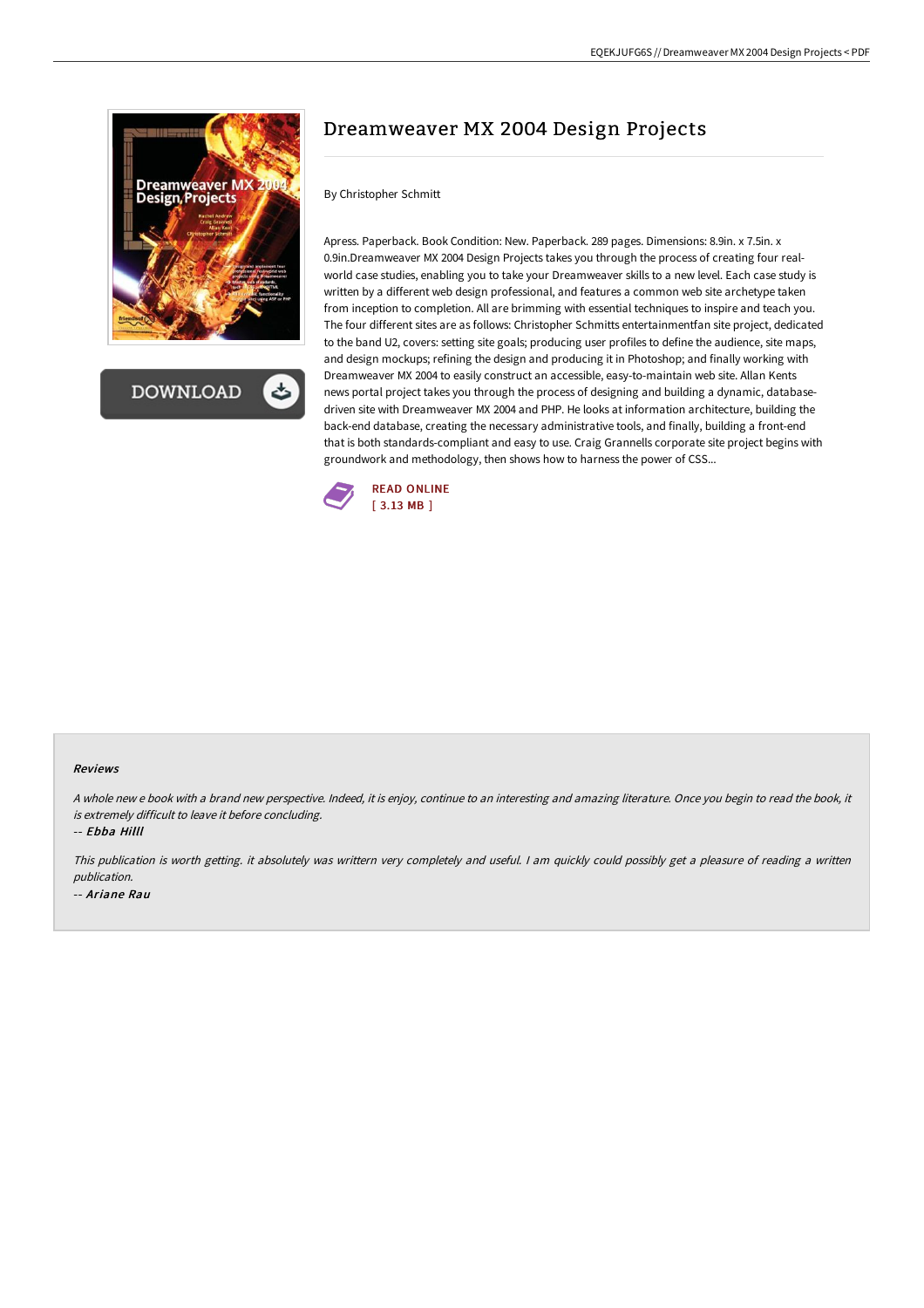

**DOWNLOAD** 

## Dreamweaver MX 2004 Design Projects

## By Christopher Schmitt

Apress. Paperback. Book Condition: New. Paperback. 289 pages. Dimensions: 8.9in. x 7.5in. x 0.9in.Dreamweaver MX 2004 Design Projects takes you through the process of creating four realworld case studies, enabling you to take your Dreamweaver skills to a new level. Each case study is written by a different web design professional, and features a common web site archetype taken from inception to completion. All are brimming with essential techniques to inspire and teach you. The four different sites are as follows: Christopher Schmitts entertainmentfan site project, dedicated to the band U2, covers: setting site goals; producing user profiles to define the audience, site maps, and design mockups; refining the design and producing it in Photoshop; and finally working with Dreamweaver MX 2004 to easily construct an accessible, easy-to-maintain web site. Allan Kents news portal project takes you through the process of designing and building a dynamic, databasedriven site with Dreamweaver MX 2004 and PHP. He looks at information architecture, building the back-end database, creating the necessary administrative tools, and finally, building a front-end that is both standards-compliant and easy to use. Craig Grannells corporate site project begins with groundwork and methodology, then shows how to harness the power of CSS...



## Reviews

A whole new <sup>e</sup> book with <sup>a</sup> brand new perspective. Indeed, it is enjoy, continue to an interesting and amazing literature. Once you begin to read the book, it is extremely difficult to leave it before concluding.

-- Ebba Hilll

This publication is worth getting. it absolutely was writtern very completely and useful. <sup>I</sup> am quickly could possibly get <sup>a</sup> pleasure of reading <sup>a</sup> written publication. -- Ariane Rau